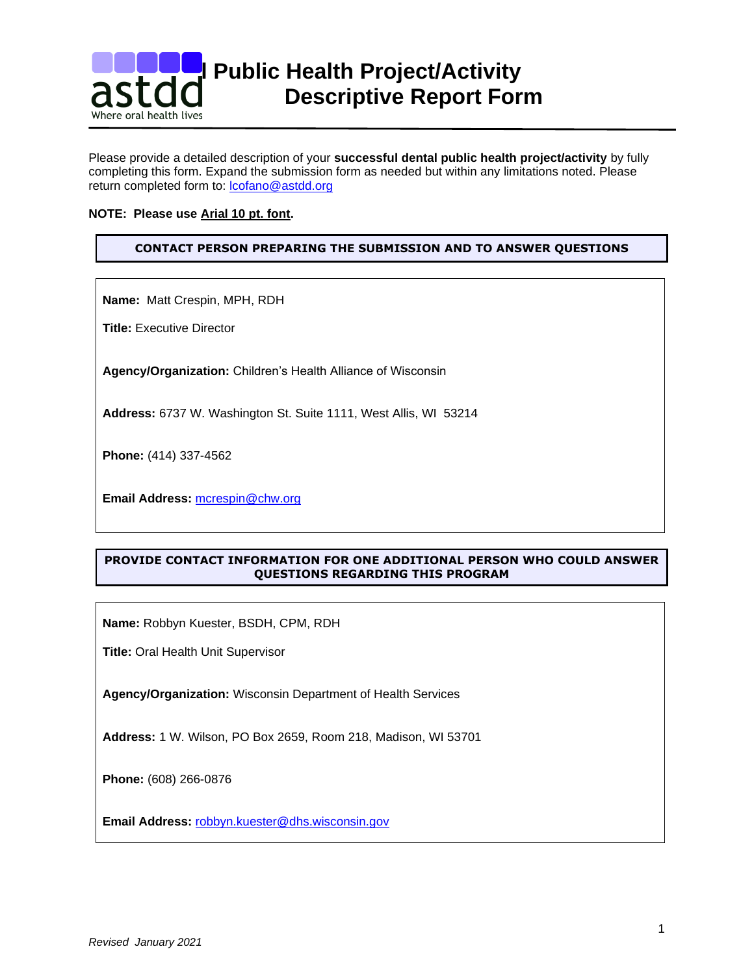

Please provide a detailed description of your **successful dental public health project/activity** by fully completing this form. Expand the submission form as needed but within any limitations noted. Please return completed form to: lcofano@astdd.org

### **NOTE: Please use Arial 10 pt. font.**

# **CONTACT PERSON PREPARING THE SUBMISSION AND TO ANSWER QUESTIONS**

**Name:** Matt Crespin, MPH, RDH

**Title:** Executive Director

**Agency/Organization:** Children's Health Alliance of Wisconsin

**Address:** 6737 W. Washington St. Suite 1111, West Allis, WI 53214

**Phone:** (414) 337-4562

**Email Address:** [mcrespin@chw.org](mailto:mcrespin@chw.org)

# **PROVIDE CONTACT INFORMATION FOR ONE ADDITIONAL PERSON WHO COULD ANSWER QUESTIONS REGARDING THIS PROGRAM**

**Name:** Robbyn Kuester, BSDH, CPM, RDH

**Title:** Oral Health Unit Supervisor

**Agency/Organization:** Wisconsin Department of Health Services

**Address:** 1 W. Wilson, PO Box 2659, Room 218, Madison, WI 53701

**Phone:** (608) 266-0876

**Email Address:** [robbyn.kuester@dhs.wisconsin.gov](mailto:robbyn.kuester@dhs.wisconsin.gov)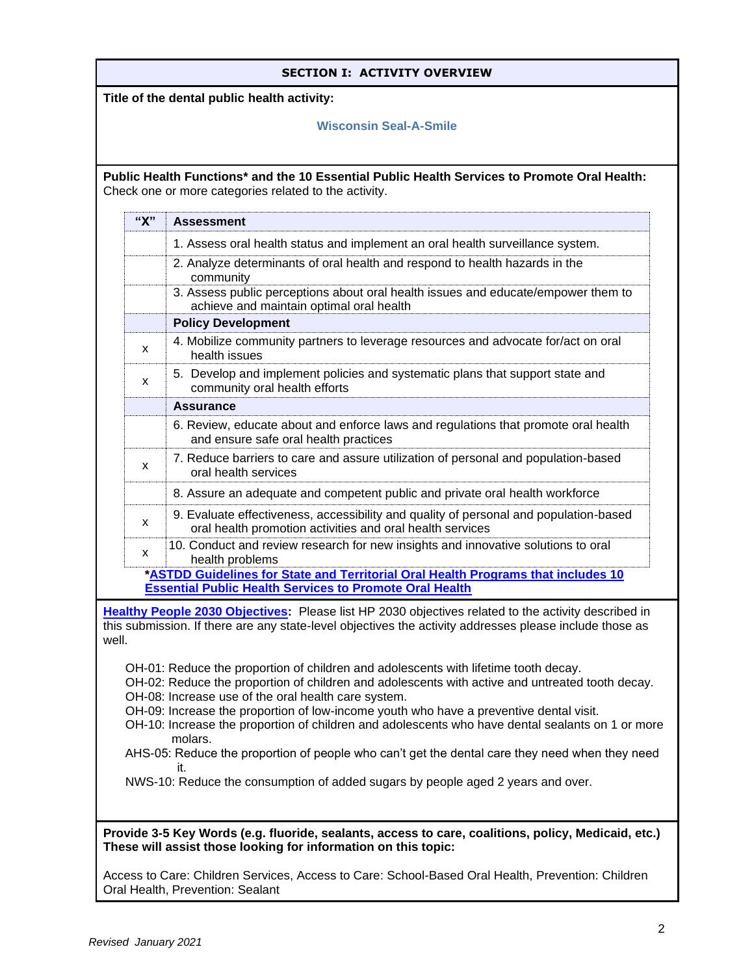| <b>SECTION I: ACTIVITY OVERVIEW</b>                                                                                                                                                                                                                                                                                                                                                                                                                    |     |                                                                                                                                                                                                                       |
|--------------------------------------------------------------------------------------------------------------------------------------------------------------------------------------------------------------------------------------------------------------------------------------------------------------------------------------------------------------------------------------------------------------------------------------------------------|-----|-----------------------------------------------------------------------------------------------------------------------------------------------------------------------------------------------------------------------|
| Title of the dental public health activity:                                                                                                                                                                                                                                                                                                                                                                                                            |     |                                                                                                                                                                                                                       |
|                                                                                                                                                                                                                                                                                                                                                                                                                                                        |     | <b>Wisconsin Seal-A-Smile</b>                                                                                                                                                                                         |
|                                                                                                                                                                                                                                                                                                                                                                                                                                                        |     |                                                                                                                                                                                                                       |
| Public Health Functions* and the 10 Essential Public Health Services to Promote Oral Health:<br>Check one or more categories related to the activity.                                                                                                                                                                                                                                                                                                  |     |                                                                                                                                                                                                                       |
|                                                                                                                                                                                                                                                                                                                                                                                                                                                        | "X" | <b>Assessment</b>                                                                                                                                                                                                     |
|                                                                                                                                                                                                                                                                                                                                                                                                                                                        |     | 1. Assess oral health status and implement an oral health surveillance system.                                                                                                                                        |
|                                                                                                                                                                                                                                                                                                                                                                                                                                                        |     | 2. Analyze determinants of oral health and respond to health hazards in the<br>community                                                                                                                              |
|                                                                                                                                                                                                                                                                                                                                                                                                                                                        |     | 3. Assess public perceptions about oral health issues and educate/empower them to<br>achieve and maintain optimal oral health                                                                                         |
|                                                                                                                                                                                                                                                                                                                                                                                                                                                        |     | <b>Policy Development</b>                                                                                                                                                                                             |
|                                                                                                                                                                                                                                                                                                                                                                                                                                                        | x   | 4. Mobilize community partners to leverage resources and advocate for/act on oral<br>health issues                                                                                                                    |
|                                                                                                                                                                                                                                                                                                                                                                                                                                                        | x   | 5. Develop and implement policies and systematic plans that support state and<br>community oral health efforts                                                                                                        |
|                                                                                                                                                                                                                                                                                                                                                                                                                                                        |     | <b>Assurance</b>                                                                                                                                                                                                      |
|                                                                                                                                                                                                                                                                                                                                                                                                                                                        |     | 6. Review, educate about and enforce laws and regulations that promote oral health<br>and ensure safe oral health practices                                                                                           |
|                                                                                                                                                                                                                                                                                                                                                                                                                                                        | X   | 7. Reduce barriers to care and assure utilization of personal and population-based<br>oral health services                                                                                                            |
|                                                                                                                                                                                                                                                                                                                                                                                                                                                        |     | 8. Assure an adequate and competent public and private oral health workforce                                                                                                                                          |
|                                                                                                                                                                                                                                                                                                                                                                                                                                                        | x   | 9. Evaluate effectiveness, accessibility and quality of personal and population-based<br>oral health promotion activities and oral health services                                                                    |
|                                                                                                                                                                                                                                                                                                                                                                                                                                                        | x   | 10. Conduct and review research for new insights and innovative solutions to oral<br>health problems                                                                                                                  |
|                                                                                                                                                                                                                                                                                                                                                                                                                                                        |     | *ASTDD Guidelines for State and Territorial Oral Health Programs that includes 10                                                                                                                                     |
|                                                                                                                                                                                                                                                                                                                                                                                                                                                        |     | <b>Essential Public Health Services to Promote Oral Health</b>                                                                                                                                                        |
| well.                                                                                                                                                                                                                                                                                                                                                                                                                                                  |     | <b>Healthy People 2030 Objectives:</b> Please list HP 2030 objectives related to the activity described in<br>this submission. If there are any state-level objectives the activity addresses please include those as |
| OH-01: Reduce the proportion of children and adolescents with lifetime tooth decay.<br>OH-02: Reduce the proportion of children and adolescents with active and untreated tooth decay.<br>OH-08: Increase use of the oral health care system.<br>OH-09: Increase the proportion of low-income youth who have a preventive dental visit.<br>OH-10: Increase the proportion of children and adolescents who have dental sealants on 1 or more<br>molars. |     |                                                                                                                                                                                                                       |
| AHS-05: Reduce the proportion of people who can't get the dental care they need when they need                                                                                                                                                                                                                                                                                                                                                         |     |                                                                                                                                                                                                                       |
| it.<br>NWS-10: Reduce the consumption of added sugars by people aged 2 years and over.                                                                                                                                                                                                                                                                                                                                                                 |     |                                                                                                                                                                                                                       |
|                                                                                                                                                                                                                                                                                                                                                                                                                                                        |     |                                                                                                                                                                                                                       |
| Provide 3-5 Key Words (e.g. fluoride, sealants, access to care, coalitions, policy, Medicaid, etc.)<br>These will assist those looking for information on this topic:                                                                                                                                                                                                                                                                                  |     |                                                                                                                                                                                                                       |
| Access to Care: Children Services, Access to Care: School-Based Oral Health, Prevention: Children<br>Oral Health, Prevention: Sealant                                                                                                                                                                                                                                                                                                                  |     |                                                                                                                                                                                                                       |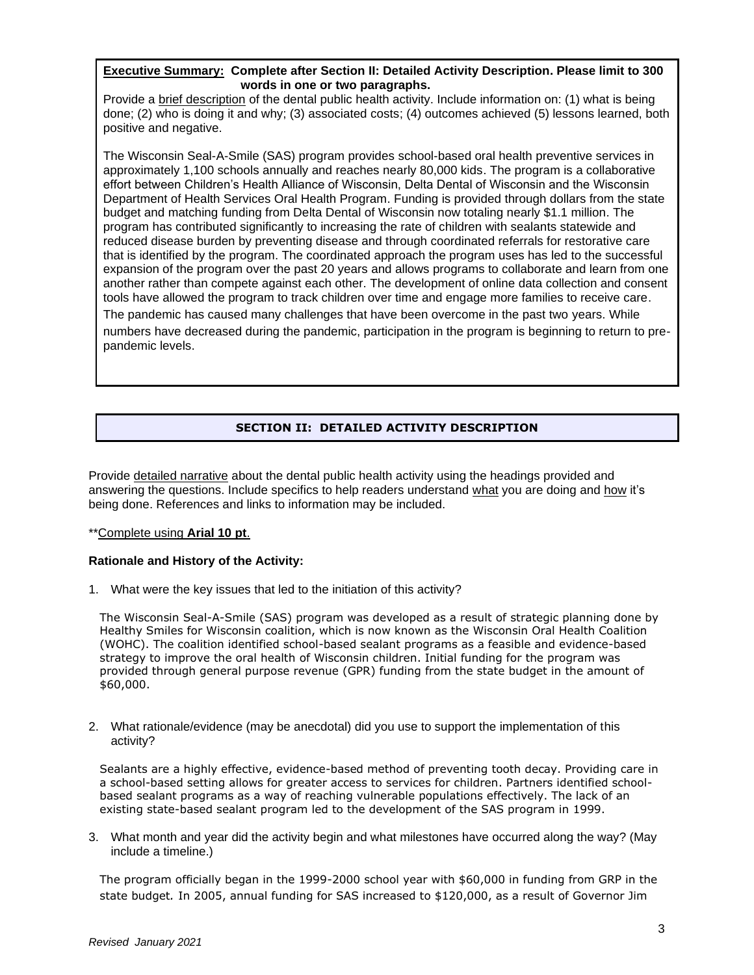### **Executive Summary: Complete after Section II: Detailed Activity Description. Please limit to 300 words in one or two paragraphs.**

Provide a brief description of the dental public health activity. Include information on: (1) what is being done; (2) who is doing it and why; (3) associated costs; (4) outcomes achieved (5) lessons learned, both positive and negative.

The Wisconsin Seal-A-Smile (SAS) program provides school-based oral health preventive services in approximately 1,100 schools annually and reaches nearly 80,000 kids. The program is a collaborative effort between Children's Health Alliance of Wisconsin, Delta Dental of Wisconsin and the Wisconsin Department of Health Services Oral Health Program. Funding is provided through dollars from the state budget and matching funding from Delta Dental of Wisconsin now totaling nearly \$1.1 million. The program has contributed significantly to increasing the rate of children with sealants statewide and reduced disease burden by preventing disease and through coordinated referrals for restorative care that is identified by the program. The coordinated approach the program uses has led to the successful expansion of the program over the past 20 years and allows programs to collaborate and learn from one another rather than compete against each other. The development of online data collection and consent tools have allowed the program to track children over time and engage more families to receive care. The pandemic has caused many challenges that have been overcome in the past two years. While numbers have decreased during the pandemic, participation in the program is beginning to return to prepandemic levels.

# **SECTION II: DETAILED ACTIVITY DESCRIPTION**

Provide detailed narrative about the dental public health activity using the headings provided and answering the questions. Include specifics to help readers understand what you are doing and how it's being done. References and links to information may be included.

#### \*\*Complete using **Arial 10 pt**.

#### **Rationale and History of the Activity:**

1. What were the key issues that led to the initiation of this activity?

The Wisconsin Seal-A-Smile (SAS) program was developed as a result of strategic planning done by Healthy Smiles for Wisconsin coalition, which is now known as the Wisconsin Oral Health Coalition (WOHC). The coalition identified school-based sealant programs as a feasible and evidence-based strategy to improve the oral health of Wisconsin children. Initial funding for the program was provided through general purpose revenue (GPR) funding from the state budget in the amount of \$60,000.

2. What rationale/evidence (may be anecdotal) did you use to support the implementation of this activity?

Sealants are a highly effective, evidence-based method of preventing tooth decay. Providing care in a school-based setting allows for greater access to services for children. Partners identified schoolbased sealant programs as a way of reaching vulnerable populations effectively. The lack of an existing state-based sealant program led to the development of the SAS program in 1999.

3. What month and year did the activity begin and what milestones have occurred along the way? (May include a timeline.)

The program officially began in the 1999-2000 school year with \$60,000 in funding from GRP in the state budget*.* In 2005, annual funding for SAS increased to \$120,000, as a result of Governor Jim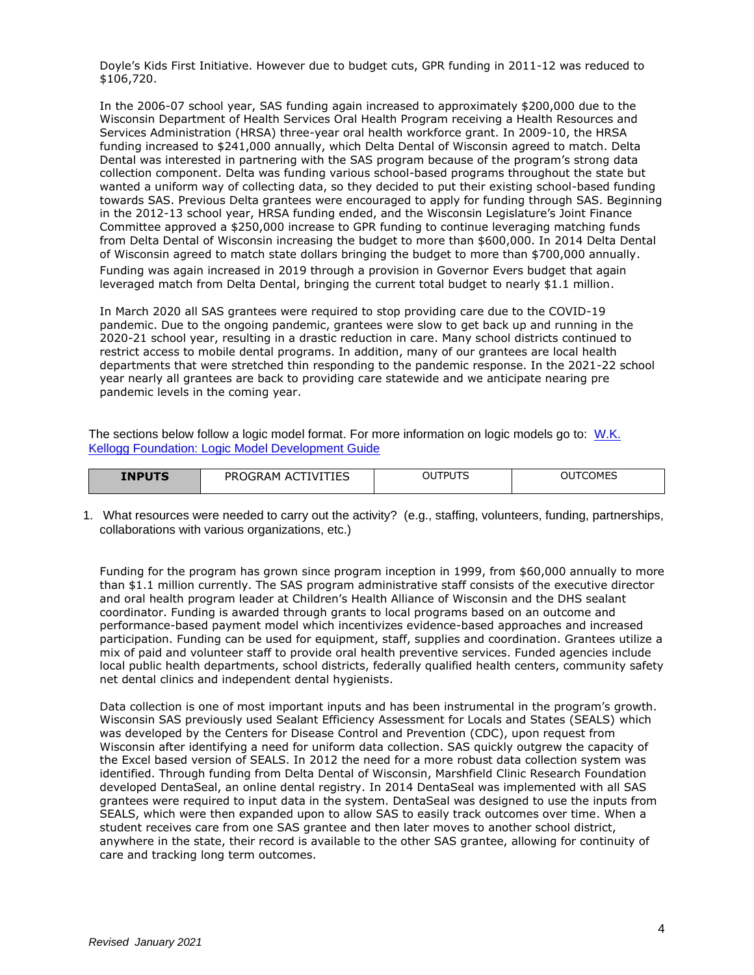Doyle's Kids First Initiative. However due to budget cuts, GPR funding in 2011-12 was reduced to \$106,720.

In the 2006-07 school year, SAS funding again increased to approximately \$200,000 due to the Wisconsin Department of Health Services Oral Health Program receiving a Health Resources and Services Administration (HRSA) three-year oral health workforce grant. In 2009-10, the HRSA funding increased to \$241,000 annually, which Delta Dental of Wisconsin agreed to match. Delta Dental was interested in partnering with the SAS program because of the program's strong data collection component. Delta was funding various school-based programs throughout the state but wanted a uniform way of collecting data, so they decided to put their existing school-based funding towards SAS. Previous Delta grantees were encouraged to apply for funding through SAS. Beginning in the 2012-13 school year, HRSA funding ended, and the Wisconsin Legislature's Joint Finance Committee approved a \$250,000 increase to GPR funding to continue leveraging matching funds from Delta Dental of Wisconsin increasing the budget to more than \$600,000. In 2014 Delta Dental of Wisconsin agreed to match state dollars bringing the budget to more than \$700,000 annually. Funding was again increased in 2019 through a provision in Governor Evers budget that again leveraged match from Delta Dental, bringing the current total budget to nearly \$1.1 million.

In March 2020 all SAS grantees were required to stop providing care due to the COVID-19 pandemic. Due to the ongoing pandemic, grantees were slow to get back up and running in the 2020-21 school year, resulting in a drastic reduction in care. Many school districts continued to restrict access to mobile dental programs. In addition, many of our grantees are local health departments that were stretched thin responding to the pandemic response. In the 2021-22 school year nearly all grantees are back to providing care statewide and we anticipate nearing pre pandemic levels in the coming year.

The sections below follow a logic model format. For more information on logic models go to: [W.K.](http://www.exinfm.com/training/pdfiles/logicModel.pdf)  [Kellogg Foundation: Logic Model Development Guide](http://www.exinfm.com/training/pdfiles/logicModel.pdf)

| <b>INPUTS</b> | /ITIES<br><b>PROGRAM</b><br>- AC<br>IV. | TPUTS<br>ו טכ' | TCOMES<br>OU |
|---------------|-----------------------------------------|----------------|--------------|
|---------------|-----------------------------------------|----------------|--------------|

1. What resources were needed to carry out the activity? (e.g., staffing, volunteers, funding, partnerships, collaborations with various organizations, etc.)

Funding for the program has grown since program inception in 1999, from \$60,000 annually to more than \$1.1 million currently. The SAS program administrative staff consists of the executive director and oral health program leader at Children's Health Alliance of Wisconsin and the DHS sealant coordinator. Funding is awarded through grants to local programs based on an outcome and performance-based payment model which incentivizes evidence-based approaches and increased participation. Funding can be used for equipment, staff, supplies and coordination. Grantees utilize a mix of paid and volunteer staff to provide oral health preventive services. Funded agencies include local public health departments, school districts, federally qualified health centers, community safety net dental clinics and independent dental hygienists.

Data collection is one of most important inputs and has been instrumental in the program's growth. Wisconsin SAS previously used Sealant Efficiency Assessment for Locals and States (SEALS) which was developed by the Centers for Disease Control and Prevention (CDC), upon request from Wisconsin after identifying a need for uniform data collection. SAS quickly outgrew the capacity of the Excel based version of SEALS. In 2012 the need for a more robust data collection system was identified. Through funding from Delta Dental of Wisconsin, Marshfield Clinic Research Foundation developed DentaSeal, an online dental registry. In 2014 DentaSeal was implemented with all SAS grantees were required to input data in the system. DentaSeal was designed to use the inputs from SEALS, which were then expanded upon to allow SAS to easily track outcomes over time. When a student receives care from one SAS grantee and then later moves to another school district, anywhere in the state, their record is available to the other SAS grantee, allowing for continuity of care and tracking long term outcomes.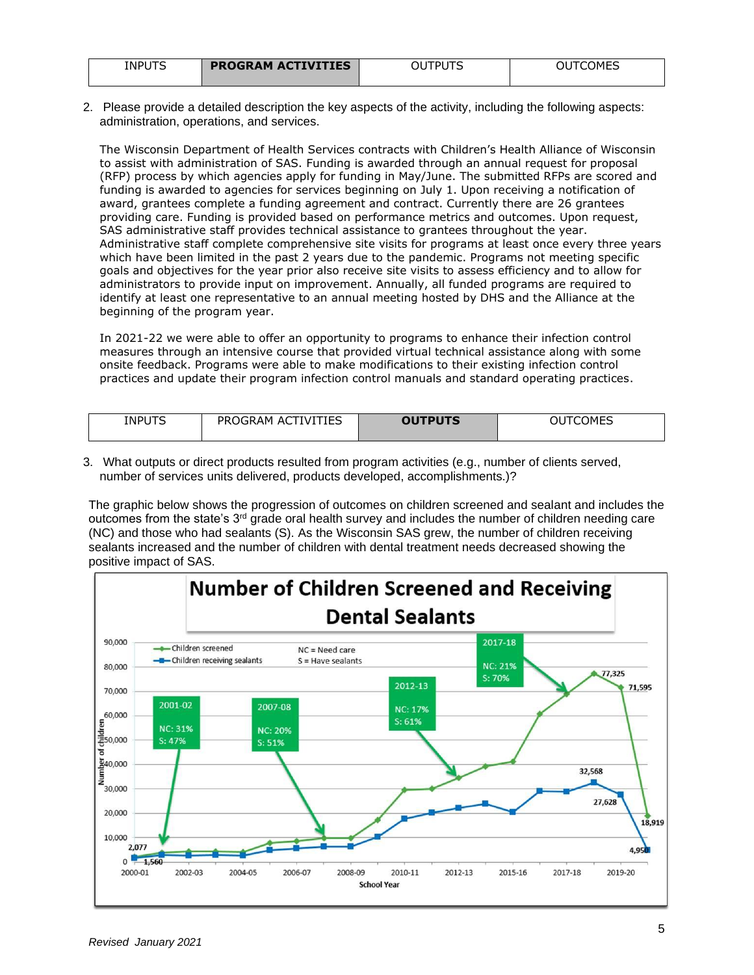| <b>INPUTS</b> | <b>PROGRAM ACTIVITIES</b> | ™PI I<br>OU | <b>IMES</b> |
|---------------|---------------------------|-------------|-------------|
|               |                           |             |             |

2. Please provide a detailed description the key aspects of the activity, including the following aspects: administration, operations, and services.

The Wisconsin Department of Health Services contracts with Children's Health Alliance of Wisconsin to assist with administration of SAS. Funding is awarded through an annual request for proposal (RFP) process by which agencies apply for funding in May/June. The submitted RFPs are scored and funding is awarded to agencies for services beginning on July 1. Upon receiving a notification of award, grantees complete a funding agreement and contract. Currently there are 26 grantees providing care. Funding is provided based on performance metrics and outcomes. Upon request, SAS administrative staff provides technical assistance to grantees throughout the year. Administrative staff complete comprehensive site visits for programs at least once every three years which have been limited in the past 2 years due to the pandemic. Programs not meeting specific goals and objectives for the year prior also receive site visits to assess efficiency and to allow for administrators to provide input on improvement. Annually, all funded programs are required to identify at least one representative to an annual meeting hosted by DHS and the Alliance at the beginning of the program year.

In 2021-22 we were able to offer an opportunity to programs to enhance their infection control measures through an intensive course that provided virtual technical assistance along with some onsite feedback. Programs were able to make modifications to their existing infection control practices and update their program infection control manuals and standard operating practices.

| <b>INPUTS</b><br>_____ | TIFS<br>$\overline{\phantom{a}}$<br><b>PR</b><br>∩GR∆M<br>TVL<br>AΟ<br>ᆠ | <b>OUTPUTS</b> | ็∩MFS<br>-<br>$\sim$ |
|------------------------|--------------------------------------------------------------------------|----------------|----------------------|
|                        |                                                                          |                |                      |

3. What outputs or direct products resulted from program activities (e.g., number of clients served, number of services units delivered, products developed, accomplishments.)?

The graphic below shows the progression of outcomes on children screened and sealant and includes the outcomes from the state's 3rd grade oral health survey and includes the number of children needing care (NC) and those who had sealants (S). As the Wisconsin SAS grew, the number of children receiving sealants increased and the number of children with dental treatment needs decreased showing the positive impact of SAS.

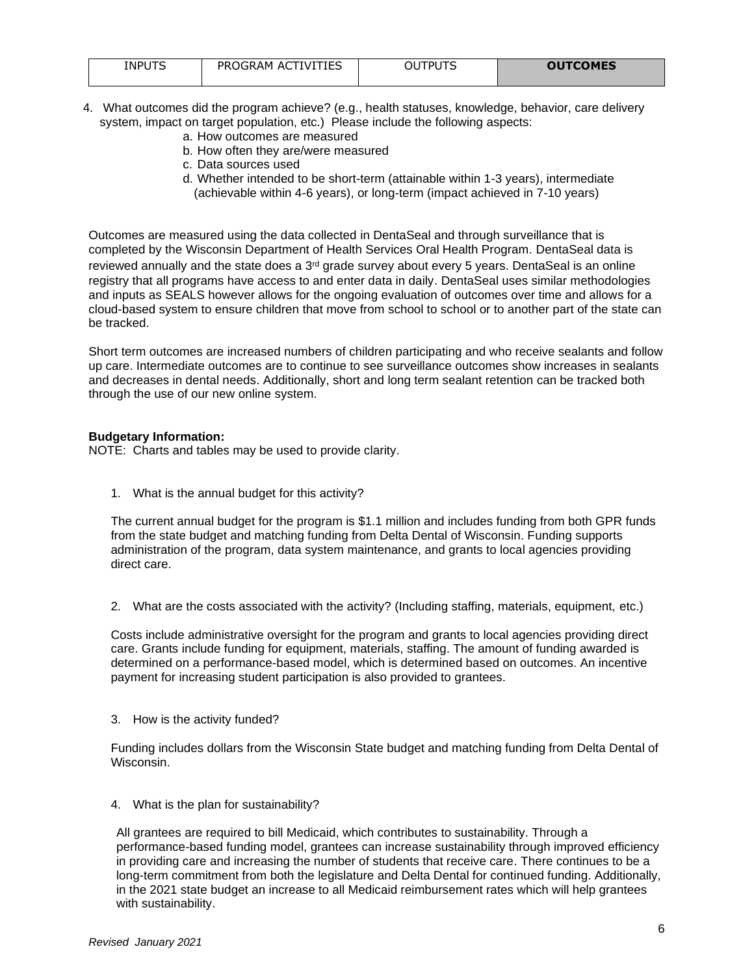| <b>INPUTS</b> | TIES<br>ACTIVI <sup>-</sup><br>PROGRAM | וח | <b>OUTCOMES</b> |
|---------------|----------------------------------------|----|-----------------|
|               |                                        |    |                 |

- 4. What outcomes did the program achieve? (e.g., health statuses, knowledge, behavior, care delivery system, impact on target population, etc.) Please include the following aspects:
	- a. How outcomes are measured
	- b. How often they are/were measured
	- c. Data sources used
	- d. Whether intended to be short-term (attainable within 1-3 years), intermediate (achievable within 4-6 years), or long-term (impact achieved in 7-10 years)

Outcomes are measured using the data collected in DentaSeal and through surveillance that is completed by the Wisconsin Department of Health Services Oral Health Program. DentaSeal data is reviewed annually and the state does a  $3<sup>rd</sup>$  grade survey about every 5 years. DentaSeal is an online registry that all programs have access to and enter data in daily. DentaSeal uses similar methodologies and inputs as SEALS however allows for the ongoing evaluation of outcomes over time and allows for a cloud-based system to ensure children that move from school to school or to another part of the state can be tracked.

Short term outcomes are increased numbers of children participating and who receive sealants and follow up care. Intermediate outcomes are to continue to see surveillance outcomes show increases in sealants and decreases in dental needs. Additionally, short and long term sealant retention can be tracked both through the use of our new online system.

## **Budgetary Information:**

NOTE: Charts and tables may be used to provide clarity.

1. What is the annual budget for this activity?

The current annual budget for the program is \$1.1 million and includes funding from both GPR funds from the state budget and matching funding from Delta Dental of Wisconsin. Funding supports administration of the program, data system maintenance, and grants to local agencies providing direct care.

2. What are the costs associated with the activity? (Including staffing, materials, equipment, etc.)

Costs include administrative oversight for the program and grants to local agencies providing direct care. Grants include funding for equipment, materials, staffing. The amount of funding awarded is determined on a performance-based model, which is determined based on outcomes. An incentive payment for increasing student participation is also provided to grantees.

3. How is the activity funded?

Funding includes dollars from the Wisconsin State budget and matching funding from Delta Dental of Wisconsin.

4. What is the plan for sustainability?

All grantees are required to bill Medicaid, which contributes to sustainability. Through a performance-based funding model, grantees can increase sustainability through improved efficiency in providing care and increasing the number of students that receive care. There continues to be a long-term commitment from both the legislature and Delta Dental for continued funding. Additionally, in the 2021 state budget an increase to all Medicaid reimbursement rates which will help grantees with sustainability.